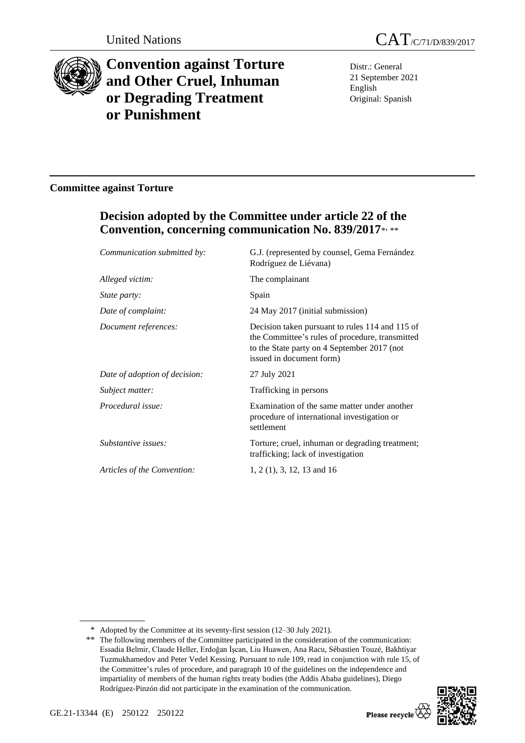

# **Convention against Torture and Other Cruel, Inhuman or Degrading Treatment or Punishment**

Distr.: General 21 September 2021 English Original: Spanish

### **Committee against Torture**

## **Decision adopted by the Committee under article 22 of the Convention, concerning communication No. 839/2017**\* , \*\*

| Communication submitted by:   | G.J. (represented by counsel, Gema Fernández<br>Rodríguez de Liévana)                                                                                                         |
|-------------------------------|-------------------------------------------------------------------------------------------------------------------------------------------------------------------------------|
| Alleged victim:               | The complainant                                                                                                                                                               |
| <i>State party:</i>           | Spain                                                                                                                                                                         |
| Date of complaint:            | 24 May 2017 (initial submission)                                                                                                                                              |
| Document references:          | Decision taken pursuant to rules 114 and 115 of<br>the Committee's rules of procedure, transmitted<br>to the State party on 4 September 2017 (not<br>issued in document form) |
| Date of adoption of decision: | 27 July 2021                                                                                                                                                                  |
| Subject matter:               | Trafficking in persons                                                                                                                                                        |
| Procedural issue:             | Examination of the same matter under another<br>procedure of international investigation or<br>settlement                                                                     |
| Substantive issues:           | Torture; cruel, inhuman or degrading treatment;<br>trafficking; lack of investigation                                                                                         |
| Articles of the Convention:   | $1, 2$ (1), 3, 12, 13 and 16                                                                                                                                                  |
|                               |                                                                                                                                                                               |

<sup>\*\*</sup> The following members of the Committee participated in the consideration of the communication: Essadia Belmir, Claude Heller, Erdoğan İşcan, Liu Huawen, Ana Racu, Sébastien Touzé, Bakhtiyar Tuzmukhamedov and Peter Vedel Kessing. Pursuant to rule 109, read in conjunction with rule 15, of the Committee's rules of procedure, and paragraph 10 of the guidelines on the independence and impartiality of members of the human rights treaty bodies (the Addis Ababa guidelines), Diego Rodríguez-Pinzón did not participate in the examination of the communication.



<sup>\*</sup> Adopted by the Committee at its seventy-first session (12–30 July 2021).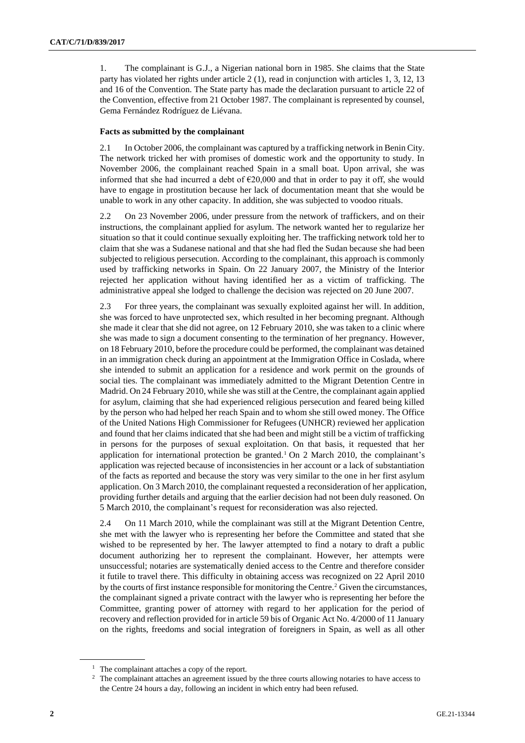1. The complainant is G.J., a Nigerian national born in 1985. She claims that the State party has violated her rights under article 2 (1), read in conjunction with articles 1, 3, 12, 13 and 16 of the Convention. The State party has made the declaration pursuant to article 22 of the Convention, effective from 21 October 1987. The complainant is represented by counsel, Gema Fernández Rodríguez de Liévana.

#### **Facts as submitted by the complainant**

2.1 In October 2006, the complainant was captured by a trafficking network in Benin City. The network tricked her with promises of domestic work and the opportunity to study. In November 2006, the complainant reached Spain in a small boat. Upon arrival, she was informed that she had incurred a debt of €20,000 and that in order to pay it off, she would have to engage in prostitution because her lack of documentation meant that she would be unable to work in any other capacity. In addition, she was subjected to voodoo rituals.

2.2 On 23 November 2006, under pressure from the network of traffickers, and on their instructions, the complainant applied for asylum. The network wanted her to regularize her situation so that it could continue sexually exploiting her. The trafficking network told her to claim that she was a Sudanese national and that she had fled the Sudan because she had been subjected to religious persecution. According to the complainant, this approach is commonly used by trafficking networks in Spain. On 22 January 2007, the Ministry of the Interior rejected her application without having identified her as a victim of trafficking. The administrative appeal she lodged to challenge the decision was rejected on 20 June 2007.

2.3 For three years, the complainant was sexually exploited against her will. In addition, she was forced to have unprotected sex, which resulted in her becoming pregnant. Although she made it clear that she did not agree, on 12 February 2010, she was taken to a clinic where she was made to sign a document consenting to the termination of her pregnancy. However, on 18 February 2010, before the procedure could be performed, the complainant was detained in an immigration check during an appointment at the Immigration Office in Coslada, where she intended to submit an application for a residence and work permit on the grounds of social ties. The complainant was immediately admitted to the Migrant Detention Centre in Madrid. On 24 February 2010, while she was still at the Centre, the complainant again applied for asylum, claiming that she had experienced religious persecution and feared being killed by the person who had helped her reach Spain and to whom she still owed money. The Office of the United Nations High Commissioner for Refugees (UNHCR) reviewed her application and found that her claims indicated that she had been and might still be a victim of trafficking in persons for the purposes of sexual exploitation. On that basis, it requested that her application for international protection be granted.<sup>1</sup> On 2 March 2010, the complainant's application was rejected because of inconsistencies in her account or a lack of substantiation of the facts as reported and because the story was very similar to the one in her first asylum application. On 3 March 2010, the complainant requested a reconsideration of her application, providing further details and arguing that the earlier decision had not been duly reasoned. On 5 March 2010, the complainant's request for reconsideration was also rejected.

2.4 On 11 March 2010, while the complainant was still at the Migrant Detention Centre, she met with the lawyer who is representing her before the Committee and stated that she wished to be represented by her. The lawyer attempted to find a notary to draft a public document authorizing her to represent the complainant. However, her attempts were unsuccessful; notaries are systematically denied access to the Centre and therefore consider it futile to travel there. This difficulty in obtaining access was recognized on 22 April 2010 by the courts of first instance responsible for monitoring the Centre.<sup>2</sup> Given the circumstances, the complainant signed a private contract with the lawyer who is representing her before the Committee, granting power of attorney with regard to her application for the period of recovery and reflection provided for in article 59 bis of Organic Act No. 4/2000 of 11 January on the rights, freedoms and social integration of foreigners in Spain, as well as all other

<sup>&</sup>lt;sup>1</sup> The complainant attaches a copy of the report.

<sup>2</sup> The complainant attaches an agreement issued by the three courts allowing notaries to have access to the Centre 24 hours a day, following an incident in which entry had been refused.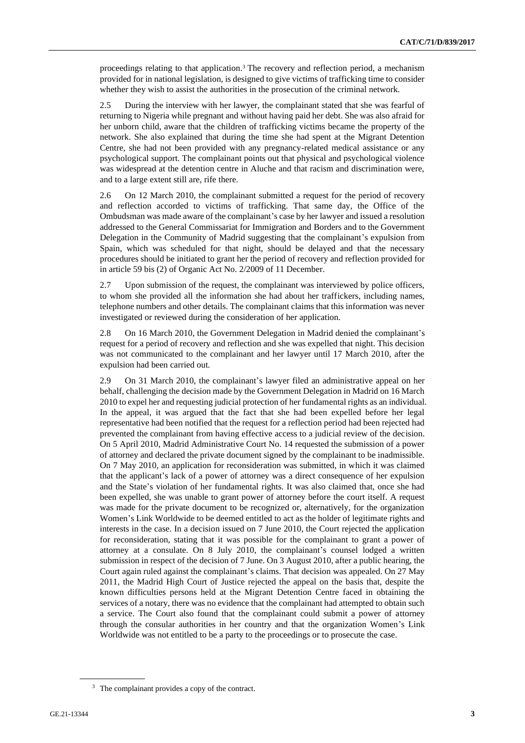proceedings relating to that application.<sup>3</sup> The recovery and reflection period, a mechanism provided for in national legislation, is designed to give victims of trafficking time to consider whether they wish to assist the authorities in the prosecution of the criminal network.

2.5 During the interview with her lawyer, the complainant stated that she was fearful of returning to Nigeria while pregnant and without having paid her debt. She was also afraid for her unborn child, aware that the children of trafficking victims became the property of the network. She also explained that during the time she had spent at the Migrant Detention Centre, she had not been provided with any pregnancy-related medical assistance or any psychological support. The complainant points out that physical and psychological violence was widespread at the detention centre in Aluche and that racism and discrimination were, and to a large extent still are, rife there.

2.6 On 12 March 2010, the complainant submitted a request for the period of recovery and reflection accorded to victims of trafficking. That same day, the Office of the Ombudsman was made aware of the complainant's case by her lawyer and issued a resolution addressed to the General Commissariat for Immigration and Borders and to the Government Delegation in the Community of Madrid suggesting that the complainant's expulsion from Spain, which was scheduled for that night, should be delayed and that the necessary procedures should be initiated to grant her the period of recovery and reflection provided for in article 59 bis (2) of Organic Act No. 2/2009 of 11 December.

2.7 Upon submission of the request, the complainant was interviewed by police officers, to whom she provided all the information she had about her traffickers, including names, telephone numbers and other details. The complainant claims that this information was never investigated or reviewed during the consideration of her application.

2.8 On 16 March 2010, the Government Delegation in Madrid denied the complainant's request for a period of recovery and reflection and she was expelled that night. This decision was not communicated to the complainant and her lawyer until 17 March 2010, after the expulsion had been carried out.

2.9 On 31 March 2010, the complainant's lawyer filed an administrative appeal on her behalf, challenging the decision made by the Government Delegation in Madrid on 16 March 2010 to expel her and requesting judicial protection of her fundamental rights as an individual. In the appeal, it was argued that the fact that she had been expelled before her legal representative had been notified that the request for a reflection period had been rejected had prevented the complainant from having effective access to a judicial review of the decision. On 5 April 2010, Madrid Administrative Court No. 14 requested the submission of a power of attorney and declared the private document signed by the complainant to be inadmissible. On 7 May 2010, an application for reconsideration was submitted, in which it was claimed that the applicant's lack of a power of attorney was a direct consequence of her expulsion and the State's violation of her fundamental rights. It was also claimed that, once she had been expelled, she was unable to grant power of attorney before the court itself. A request was made for the private document to be recognized or, alternatively, for the organization Women's Link Worldwide to be deemed entitled to act as the holder of legitimate rights and interests in the case. In a decision issued on 7 June 2010, the Court rejected the application for reconsideration, stating that it was possible for the complainant to grant a power of attorney at a consulate. On 8 July 2010, the complainant's counsel lodged a written submission in respect of the decision of 7 June. On 3 August 2010, after a public hearing, the Court again ruled against the complainant's claims. That decision was appealed. On 27 May 2011, the Madrid High Court of Justice rejected the appeal on the basis that, despite the known difficulties persons held at the Migrant Detention Centre faced in obtaining the services of a notary, there was no evidence that the complainant had attempted to obtain such a service. The Court also found that the complainant could submit a power of attorney through the consular authorities in her country and that the organization Women's Link Worldwide was not entitled to be a party to the proceedings or to prosecute the case.

<sup>&</sup>lt;sup>3</sup> The complainant provides a copy of the contract.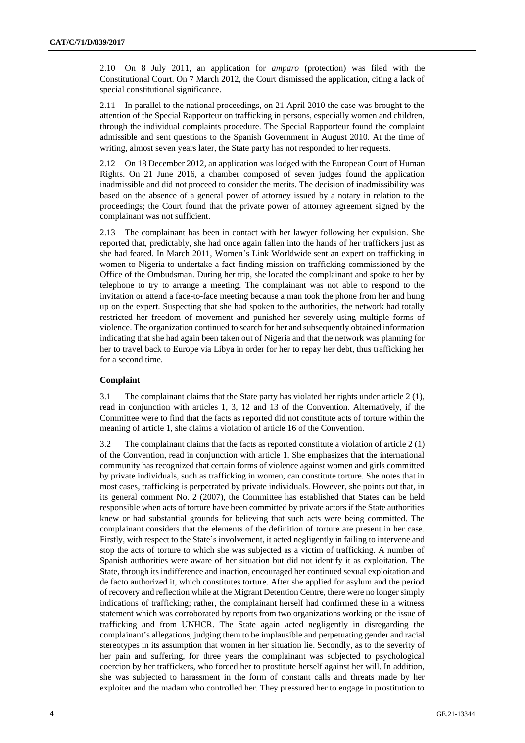2.10 On 8 July 2011, an application for *amparo* (protection) was filed with the Constitutional Court. On 7 March 2012, the Court dismissed the application, citing a lack of special constitutional significance.

2.11 In parallel to the national proceedings, on 21 April 2010 the case was brought to the attention of the Special Rapporteur on trafficking in persons, especially women and children, through the individual complaints procedure. The Special Rapporteur found the complaint admissible and sent questions to the Spanish Government in August 2010. At the time of writing, almost seven years later, the State party has not responded to her requests.

2.12 On 18 December 2012, an application was lodged with the European Court of Human Rights. On 21 June 2016, a chamber composed of seven judges found the application inadmissible and did not proceed to consider the merits. The decision of inadmissibility was based on the absence of a general power of attorney issued by a notary in relation to the proceedings; the Court found that the private power of attorney agreement signed by the complainant was not sufficient.

2.13 The complainant has been in contact with her lawyer following her expulsion. She reported that, predictably, she had once again fallen into the hands of her traffickers just as she had feared. In March 2011, Women's Link Worldwide sent an expert on trafficking in women to Nigeria to undertake a fact-finding mission on trafficking commissioned by the Office of the Ombudsman. During her trip, she located the complainant and spoke to her by telephone to try to arrange a meeting. The complainant was not able to respond to the invitation or attend a face-to-face meeting because a man took the phone from her and hung up on the expert. Suspecting that she had spoken to the authorities, the network had totally restricted her freedom of movement and punished her severely using multiple forms of violence. The organization continued to search for her and subsequently obtained information indicating that she had again been taken out of Nigeria and that the network was planning for her to travel back to Europe via Libya in order for her to repay her debt, thus trafficking her for a second time.

#### **Complaint**

3.1 The complainant claims that the State party has violated her rights under article 2 (1), read in conjunction with articles 1, 3, 12 and 13 of the Convention. Alternatively, if the Committee were to find that the facts as reported did not constitute acts of torture within the meaning of article 1, she claims a violation of article 16 of the Convention.

3.2 The complainant claims that the facts as reported constitute a violation of article 2 (1) of the Convention, read in conjunction with article 1. She emphasizes that the international community has recognized that certain forms of violence against women and girls committed by private individuals, such as trafficking in women, can constitute torture. She notes that in most cases, trafficking is perpetrated by private individuals. However, she points out that, in its general comment No. 2 (2007), the Committee has established that States can be held responsible when acts of torture have been committed by private actors if the State authorities knew or had substantial grounds for believing that such acts were being committed. The complainant considers that the elements of the definition of torture are present in her case. Firstly, with respect to the State's involvement, it acted negligently in failing to intervene and stop the acts of torture to which she was subjected as a victim of trafficking. A number of Spanish authorities were aware of her situation but did not identify it as exploitation. The State, through its indifference and inaction, encouraged her continued sexual exploitation and de facto authorized it, which constitutes torture. After she applied for asylum and the period of recovery and reflection while at the Migrant Detention Centre, there were no longer simply indications of trafficking; rather, the complainant herself had confirmed these in a witness statement which was corroborated by reports from two organizations working on the issue of trafficking and from UNHCR. The State again acted negligently in disregarding the complainant's allegations, judging them to be implausible and perpetuating gender and racial stereotypes in its assumption that women in her situation lie. Secondly, as to the severity of her pain and suffering, for three years the complainant was subjected to psychological coercion by her traffickers, who forced her to prostitute herself against her will. In addition, she was subjected to harassment in the form of constant calls and threats made by her exploiter and the madam who controlled her. They pressured her to engage in prostitution to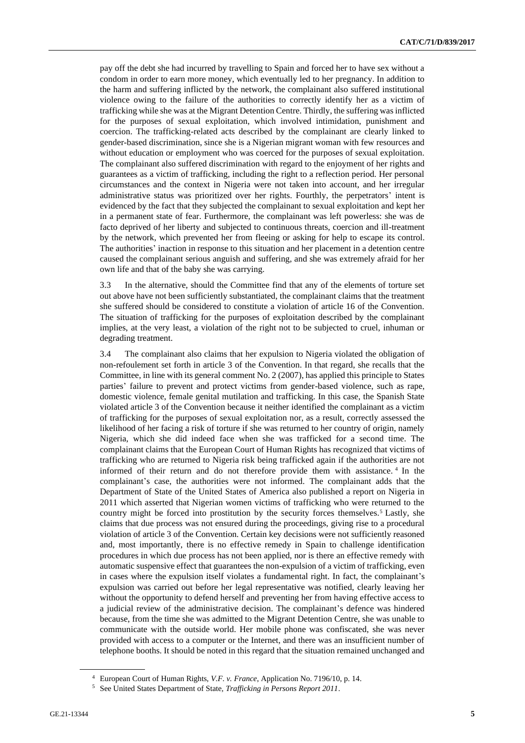pay off the debt she had incurred by travelling to Spain and forced her to have sex without a condom in order to earn more money, which eventually led to her pregnancy. In addition to the harm and suffering inflicted by the network, the complainant also suffered institutional violence owing to the failure of the authorities to correctly identify her as a victim of trafficking while she was at the Migrant Detention Centre. Thirdly, the suffering was inflicted for the purposes of sexual exploitation, which involved intimidation, punishment and coercion. The trafficking-related acts described by the complainant are clearly linked to gender-based discrimination, since she is a Nigerian migrant woman with few resources and without education or employment who was coerced for the purposes of sexual exploitation. The complainant also suffered discrimination with regard to the enjoyment of her rights and guarantees as a victim of trafficking, including the right to a reflection period. Her personal circumstances and the context in Nigeria were not taken into account, and her irregular administrative status was prioritized over her rights. Fourthly, the perpetrators' intent is evidenced by the fact that they subjected the complainant to sexual exploitation and kept her in a permanent state of fear. Furthermore, the complainant was left powerless: she was de facto deprived of her liberty and subjected to continuous threats, coercion and ill-treatment by the network, which prevented her from fleeing or asking for help to escape its control. The authorities' inaction in response to this situation and her placement in a detention centre caused the complainant serious anguish and suffering, and she was extremely afraid for her own life and that of the baby she was carrying.

3.3 In the alternative, should the Committee find that any of the elements of torture set out above have not been sufficiently substantiated, the complainant claims that the treatment she suffered should be considered to constitute a violation of article 16 of the Convention. The situation of trafficking for the purposes of exploitation described by the complainant implies, at the very least, a violation of the right not to be subjected to cruel, inhuman or degrading treatment.

3.4 The complainant also claims that her expulsion to Nigeria violated the obligation of non-refoulement set forth in article 3 of the Convention. In that regard, she recalls that the Committee, in line with its general comment No. 2 (2007), has applied this principle to States parties' failure to prevent and protect victims from gender-based violence, such as rape, domestic violence, female genital mutilation and trafficking. In this case, the Spanish State violated article 3 of the Convention because it neither identified the complainant as a victim of trafficking for the purposes of sexual exploitation nor, as a result, correctly assessed the likelihood of her facing a risk of torture if she was returned to her country of origin, namely Nigeria, which she did indeed face when she was trafficked for a second time. The complainant claims that the European Court of Human Rights has recognized that victims of trafficking who are returned to Nigeria risk being trafficked again if the authorities are not informed of their return and do not therefore provide them with assistance. <sup>4</sup> In the complainant's case, the authorities were not informed. The complainant adds that the Department of State of the United States of America also published a report on Nigeria in 2011 which asserted that Nigerian women victims of trafficking who were returned to the country might be forced into prostitution by the security forces themselves.<sup>5</sup> Lastly, she claims that due process was not ensured during the proceedings, giving rise to a procedural violation of article 3 of the Convention. Certain key decisions were not sufficiently reasoned and, most importantly, there is no effective remedy in Spain to challenge identification procedures in which due process has not been applied, nor is there an effective remedy with automatic suspensive effect that guarantees the non-expulsion of a victim of trafficking, even in cases where the expulsion itself violates a fundamental right. In fact, the complainant's expulsion was carried out before her legal representative was notified, clearly leaving her without the opportunity to defend herself and preventing her from having effective access to a judicial review of the administrative decision. The complainant's defence was hindered because, from the time she was admitted to the Migrant Detention Centre, she was unable to communicate with the outside world. Her mobile phone was confiscated, she was never provided with access to a computer or the Internet, and there was an insufficient number of telephone booths. It should be noted in this regard that the situation remained unchanged and

<sup>4</sup> European Court of Human Rights, *V.F. v. France*, Application No. 7196/10, p. 14.

<sup>5</sup> See United States Department of State, *Trafficking in Persons Report 2011*.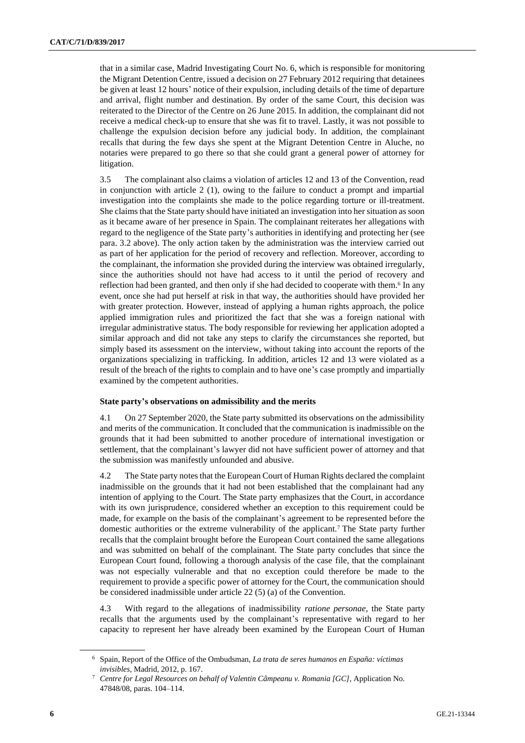that in a similar case, Madrid Investigating Court No. 6, which is responsible for monitoring the Migrant Detention Centre, issued a decision on 27 February 2012 requiring that detainees be given at least 12 hours' notice of their expulsion, including details of the time of departure and arrival, flight number and destination. By order of the same Court, this decision was reiterated to the Director of the Centre on 26 June 2015. In addition, the complainant did not receive a medical check-up to ensure that she was fit to travel. Lastly, it was not possible to challenge the expulsion decision before any judicial body. In addition, the complainant recalls that during the few days she spent at the Migrant Detention Centre in Aluche, no notaries were prepared to go there so that she could grant a general power of attorney for litigation.

3.5 The complainant also claims a violation of articles 12 and 13 of the Convention, read in conjunction with article 2 (1), owing to the failure to conduct a prompt and impartial investigation into the complaints she made to the police regarding torture or ill-treatment. She claims that the State party should have initiated an investigation into her situation as soon as it became aware of her presence in Spain. The complainant reiterates her allegations with regard to the negligence of the State party's authorities in identifying and protecting her (see para. 3.2 above). The only action taken by the administration was the interview carried out as part of her application for the period of recovery and reflection. Moreover, according to the complainant, the information she provided during the interview was obtained irregularly, since the authorities should not have had access to it until the period of recovery and reflection had been granted, and then only if she had decided to cooperate with them.<sup>6</sup> In any event, once she had put herself at risk in that way, the authorities should have provided her with greater protection. However, instead of applying a human rights approach, the police applied immigration rules and prioritized the fact that she was a foreign national with irregular administrative status. The body responsible for reviewing her application adopted a similar approach and did not take any steps to clarify the circumstances she reported, but simply based its assessment on the interview, without taking into account the reports of the organizations specializing in trafficking. In addition, articles 12 and 13 were violated as a result of the breach of the rights to complain and to have one's case promptly and impartially examined by the competent authorities.

#### **State party's observations on admissibility and the merits**

4.1 On 27 September 2020, the State party submitted its observations on the admissibility and merits of the communication. It concluded that the communication is inadmissible on the grounds that it had been submitted to another procedure of international investigation or settlement, that the complainant's lawyer did not have sufficient power of attorney and that the submission was manifestly unfounded and abusive.

4.2 The State party notes that the European Court of Human Rights declared the complaint inadmissible on the grounds that it had not been established that the complainant had any intention of applying to the Court. The State party emphasizes that the Court, in accordance with its own jurisprudence, considered whether an exception to this requirement could be made, for example on the basis of the complainant's agreement to be represented before the domestic authorities or the extreme vulnerability of the applicant.<sup>7</sup> The State party further recalls that the complaint brought before the European Court contained the same allegations and was submitted on behalf of the complainant. The State party concludes that since the European Court found, following a thorough analysis of the case file, that the complainant was not especially vulnerable and that no exception could therefore be made to the requirement to provide a specific power of attorney for the Court, the communication should be considered inadmissible under article 22 (5) (a) of the Convention.

4.3 With regard to the allegations of inadmissibility *ratione personae*, the State party recalls that the arguments used by the complainant's representative with regard to her capacity to represent her have already been examined by the European Court of Human

<sup>6</sup> Spain, Report of the Office of the Ombudsman, *La trata de seres humanos en España: víctimas invisibles*, Madrid, 2012, p. 167.

<sup>7</sup> *Centre for Legal Resources on behalf of Valentin Câmpeanu v. Romania [GC]*, Application No. 47848/08, paras. 104–114.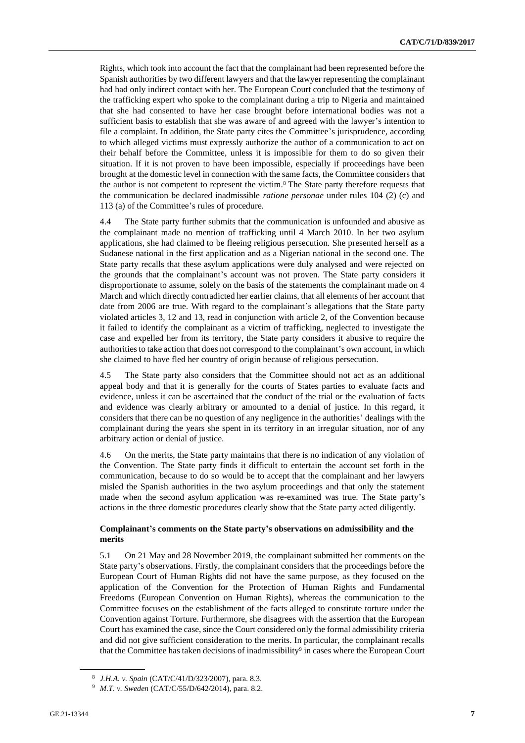Rights, which took into account the fact that the complainant had been represented before the Spanish authorities by two different lawyers and that the lawyer representing the complainant had had only indirect contact with her. The European Court concluded that the testimony of the trafficking expert who spoke to the complainant during a trip to Nigeria and maintained that she had consented to have her case brought before international bodies was not a sufficient basis to establish that she was aware of and agreed with the lawyer's intention to file a complaint. In addition, the State party cites the Committee's jurisprudence, according to which alleged victims must expressly authorize the author of a communication to act on their behalf before the Committee, unless it is impossible for them to do so given their situation. If it is not proven to have been impossible, especially if proceedings have been brought at the domestic level in connection with the same facts, the Committee considers that the author is not competent to represent the victim.<sup>8</sup> The State party therefore requests that the communication be declared inadmissible *ratione personae* under rules 104 (2) (c) and 113 (a) of the Committee's rules of procedure.

4.4 The State party further submits that the communication is unfounded and abusive as the complainant made no mention of trafficking until 4 March 2010. In her two asylum applications, she had claimed to be fleeing religious persecution. She presented herself as a Sudanese national in the first application and as a Nigerian national in the second one. The State party recalls that these asylum applications were duly analysed and were rejected on the grounds that the complainant's account was not proven. The State party considers it disproportionate to assume, solely on the basis of the statements the complainant made on 4 March and which directly contradicted her earlier claims, that all elements of her account that date from 2006 are true. With regard to the complainant's allegations that the State party violated articles 3, 12 and 13, read in conjunction with article 2, of the Convention because it failed to identify the complainant as a victim of trafficking, neglected to investigate the case and expelled her from its territory, the State party considers it abusive to require the authorities to take action that does not correspond to the complainant's own account, in which she claimed to have fled her country of origin because of religious persecution.

4.5 The State party also considers that the Committee should not act as an additional appeal body and that it is generally for the courts of States parties to evaluate facts and evidence, unless it can be ascertained that the conduct of the trial or the evaluation of facts and evidence was clearly arbitrary or amounted to a denial of justice. In this regard, it considers that there can be no question of any negligence in the authorities' dealings with the complainant during the years she spent in its territory in an irregular situation, nor of any arbitrary action or denial of justice.

4.6 On the merits, the State party maintains that there is no indication of any violation of the Convention. The State party finds it difficult to entertain the account set forth in the communication, because to do so would be to accept that the complainant and her lawyers misled the Spanish authorities in the two asylum proceedings and that only the statement made when the second asylum application was re-examined was true. The State party's actions in the three domestic procedures clearly show that the State party acted diligently.

#### **Complainant's comments on the State party's observations on admissibility and the merits**

5.1 On 21 May and 28 November 2019, the complainant submitted her comments on the State party's observations. Firstly, the complainant considers that the proceedings before the European Court of Human Rights did not have the same purpose, as they focused on the application of the Convention for the Protection of Human Rights and Fundamental Freedoms (European Convention on Human Rights), whereas the communication to the Committee focuses on the establishment of the facts alleged to constitute torture under the Convention against Torture. Furthermore, she disagrees with the assertion that the European Court has examined the case, since the Court considered only the formal admissibility criteria and did not give sufficient consideration to the merits. In particular, the complainant recalls that the Committee has taken decisions of inadmissibility<sup>9</sup> in cases where the European Court

<sup>8</sup> *J.H.A. v. Spain* (CAT/C/41/D/323/2007), para. 8.3.

<sup>9</sup> *M.T. v. Sweden* (CAT/C/55/D/642/2014), para. 8.2.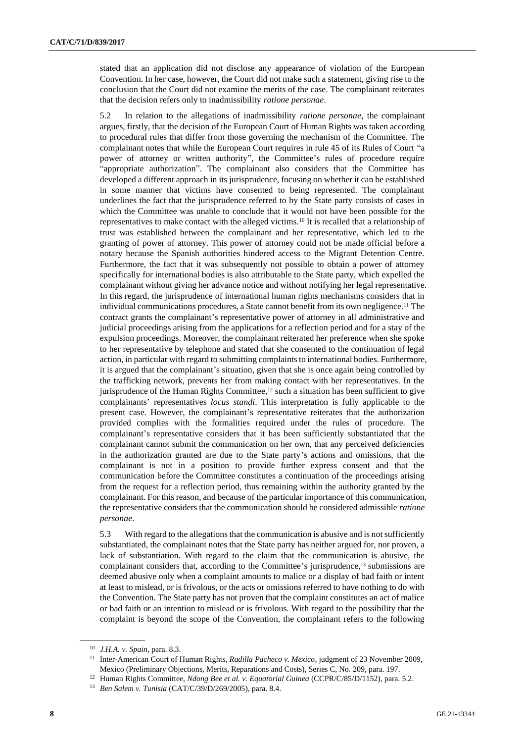stated that an application did not disclose any appearance of violation of the European Convention. In her case, however, the Court did not make such a statement, giving rise to the conclusion that the Court did not examine the merits of the case. The complainant reiterates that the decision refers only to inadmissibility *ratione personae*.

5.2 In relation to the allegations of inadmissibility *ratione personae*, the complainant argues, firstly, that the decision of the European Court of Human Rights was taken according to procedural rules that differ from those governing the mechanism of the Committee. The complainant notes that while the European Court requires in rule 45 of its Rules of Court "a power of attorney or written authority", the Committee's rules of procedure require "appropriate authorization". The complainant also considers that the Committee has developed a different approach in its jurisprudence, focusing on whether it can be established in some manner that victims have consented to being represented. The complainant underlines the fact that the jurisprudence referred to by the State party consists of cases in which the Committee was unable to conclude that it would not have been possible for the representatives to make contact with the alleged victims.<sup>10</sup> It is recalled that a relationship of trust was established between the complainant and her representative, which led to the granting of power of attorney. This power of attorney could not be made official before a notary because the Spanish authorities hindered access to the Migrant Detention Centre. Furthermore, the fact that it was subsequently not possible to obtain a power of attorney specifically for international bodies is also attributable to the State party, which expelled the complainant without giving her advance notice and without notifying her legal representative. In this regard, the jurisprudence of international human rights mechanisms considers that in individual communications procedures, a State cannot benefit from its own negligence.<sup>11</sup> The contract grants the complainant's representative power of attorney in all administrative and judicial proceedings arising from the applications for a reflection period and for a stay of the expulsion proceedings. Moreover, the complainant reiterated her preference when she spoke to her representative by telephone and stated that she consented to the continuation of legal action, in particular with regard to submitting complaints to international bodies. Furthermore, it is argued that the complainant's situation, given that she is once again being controlled by the trafficking network, prevents her from making contact with her representatives. In the jurisprudence of the Human Rights Committee,<sup>12</sup> such a situation has been sufficient to give complainants' representatives *locus standi*. This interpretation is fully applicable to the present case. However, the complainant's representative reiterates that the authorization provided complies with the formalities required under the rules of procedure. The complainant's representative considers that it has been sufficiently substantiated that the complainant cannot submit the communication on her own, that any perceived deficiencies in the authorization granted are due to the State party's actions and omissions, that the complainant is not in a position to provide further express consent and that the communication before the Committee constitutes a continuation of the proceedings arising from the request for a reflection period, thus remaining within the authority granted by the complainant. For this reason, and because of the particular importance of this communication, the representative considers that the communication should be considered admissible *ratione personae*.

5.3 With regard to the allegations that the communication is abusive and is not sufficiently substantiated, the complainant notes that the State party has neither argued for, nor proven, a lack of substantiation. With regard to the claim that the communication is abusive, the complainant considers that, according to the Committee's jurisprudence,<sup>13</sup> submissions are deemed abusive only when a complaint amounts to malice or a display of bad faith or intent at least to mislead, or is frivolous, or the acts or omissions referred to have nothing to do with the Convention. The State party has not proven that the complaint constitutes an act of malice or bad faith or an intention to mislead or is frivolous. With regard to the possibility that the complaint is beyond the scope of the Convention, the complainant refers to the following

<sup>10</sup> *J.H.A. v. Spain*, para. 8.3.

<sup>11</sup> Inter-American Court of Human Rights, *Radilla Pacheco v. Mexico*, judgment of 23 November 2009, Mexico (Preliminary Objections, Merits, Reparations and Costs), Series C, No. 209, para. 197.

<sup>12</sup> Human Rights Committee, *Ndong Bee et al. v. Equatorial Guinea* (CCPR/C/85/D/1152), para. 5.2.

<sup>13</sup> *Ben Salem v. Tunisia* (CAT/C/39/D/269/2005), para. 8.4.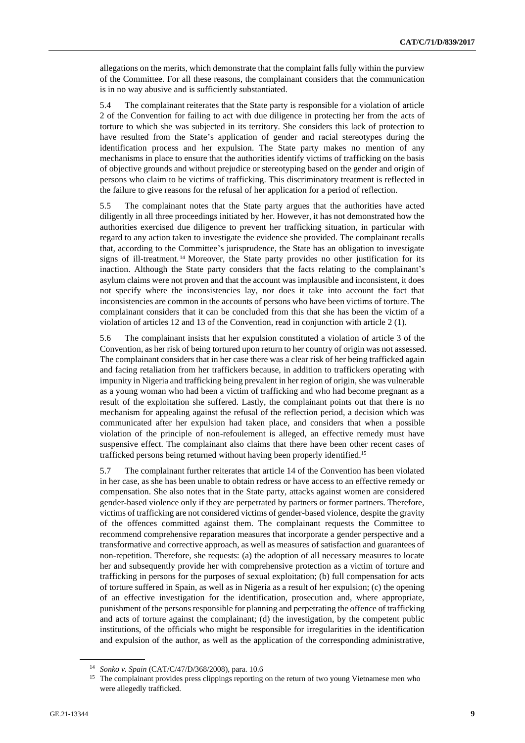allegations on the merits, which demonstrate that the complaint falls fully within the purview of the Committee. For all these reasons, the complainant considers that the communication is in no way abusive and is sufficiently substantiated.

5.4 The complainant reiterates that the State party is responsible for a violation of article 2 of the Convention for failing to act with due diligence in protecting her from the acts of torture to which she was subjected in its territory. She considers this lack of protection to have resulted from the State's application of gender and racial stereotypes during the identification process and her expulsion. The State party makes no mention of any mechanisms in place to ensure that the authorities identify victims of trafficking on the basis of objective grounds and without prejudice or stereotyping based on the gender and origin of persons who claim to be victims of trafficking. This discriminatory treatment is reflected in the failure to give reasons for the refusal of her application for a period of reflection.

5.5 The complainant notes that the State party argues that the authorities have acted diligently in all three proceedings initiated by her. However, it has not demonstrated how the authorities exercised due diligence to prevent her trafficking situation, in particular with regard to any action taken to investigate the evidence she provided. The complainant recalls that, according to the Committee's jurisprudence, the State has an obligation to investigate signs of ill-treatment. <sup>14</sup> Moreover, the State party provides no other justification for its inaction. Although the State party considers that the facts relating to the complainant's asylum claims were not proven and that the account was implausible and inconsistent, it does not specify where the inconsistencies lay, nor does it take into account the fact that inconsistencies are common in the accounts of persons who have been victims of torture. The complainant considers that it can be concluded from this that she has been the victim of a violation of articles 12 and 13 of the Convention, read in conjunction with article 2 (1).

5.6 The complainant insists that her expulsion constituted a violation of article 3 of the Convention, as her risk of being tortured upon return to her country of origin was not assessed. The complainant considers that in her case there was a clear risk of her being trafficked again and facing retaliation from her traffickers because, in addition to traffickers operating with impunity in Nigeria and trafficking being prevalent in her region of origin, she was vulnerable as a young woman who had been a victim of trafficking and who had become pregnant as a result of the exploitation she suffered. Lastly, the complainant points out that there is no mechanism for appealing against the refusal of the reflection period, a decision which was communicated after her expulsion had taken place, and considers that when a possible violation of the principle of non-refoulement is alleged, an effective remedy must have suspensive effect. The complainant also claims that there have been other recent cases of trafficked persons being returned without having been properly identified.<sup>15</sup>

5.7 The complainant further reiterates that article 14 of the Convention has been violated in her case, as she has been unable to obtain redress or have access to an effective remedy or compensation. She also notes that in the State party, attacks against women are considered gender-based violence only if they are perpetrated by partners or former partners. Therefore, victims of trafficking are not considered victims of gender-based violence, despite the gravity of the offences committed against them. The complainant requests the Committee to recommend comprehensive reparation measures that incorporate a gender perspective and a transformative and corrective approach, as well as measures of satisfaction and guarantees of non-repetition. Therefore, she requests: (a) the adoption of all necessary measures to locate her and subsequently provide her with comprehensive protection as a victim of torture and trafficking in persons for the purposes of sexual exploitation; (b) full compensation for acts of torture suffered in Spain, as well as in Nigeria as a result of her expulsion; (c) the opening of an effective investigation for the identification, prosecution and, where appropriate, punishment of the persons responsible for planning and perpetrating the offence of trafficking and acts of torture against the complainant; (d) the investigation, by the competent public institutions, of the officials who might be responsible for irregularities in the identification and expulsion of the author, as well as the application of the corresponding administrative,

<sup>14</sup> *Sonko v. Spain* (CAT/C/47/D/368/2008), para. 10.6

<sup>&</sup>lt;sup>15</sup> The complainant provides press clippings reporting on the return of two young Vietnamese men who were allegedly trafficked.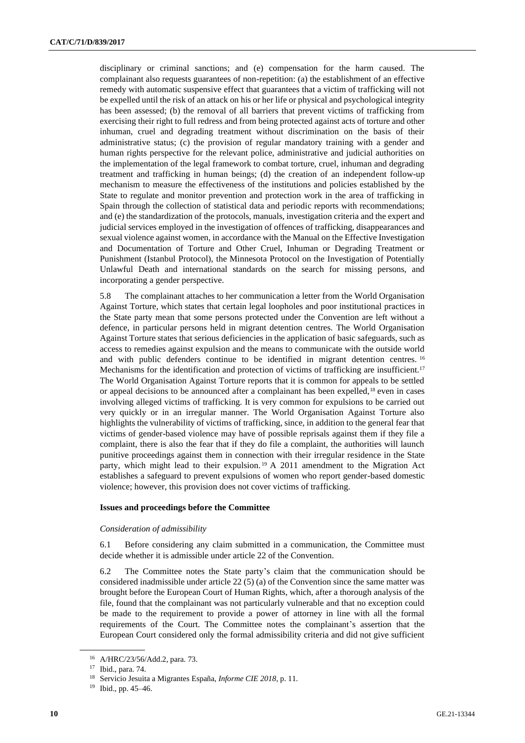disciplinary or criminal sanctions; and (e) compensation for the harm caused. The complainant also requests guarantees of non-repetition: (a) the establishment of an effective remedy with automatic suspensive effect that guarantees that a victim of trafficking will not be expelled until the risk of an attack on his or her life or physical and psychological integrity has been assessed; (b) the removal of all barriers that prevent victims of trafficking from exercising their right to full redress and from being protected against acts of torture and other inhuman, cruel and degrading treatment without discrimination on the basis of their administrative status; (c) the provision of regular mandatory training with a gender and human rights perspective for the relevant police, administrative and judicial authorities on the implementation of the legal framework to combat torture, cruel, inhuman and degrading treatment and trafficking in human beings; (d) the creation of an independent follow-up mechanism to measure the effectiveness of the institutions and policies established by the State to regulate and monitor prevention and protection work in the area of trafficking in Spain through the collection of statistical data and periodic reports with recommendations; and (e) the standardization of the protocols, manuals, investigation criteria and the expert and judicial services employed in the investigation of offences of trafficking, disappearances and sexual violence against women, in accordance with the Manual on the Effective Investigation and Documentation of Torture and Other Cruel, Inhuman or Degrading Treatment or Punishment (Istanbul Protocol), the Minnesota Protocol on the Investigation of Potentially Unlawful Death and international standards on the search for missing persons, and incorporating a gender perspective.

5.8 The complainant attaches to her communication a letter from the World Organisation Against Torture, which states that certain legal loopholes and poor institutional practices in the State party mean that some persons protected under the Convention are left without a defence, in particular persons held in migrant detention centres. The World Organisation Against Torture states that serious deficiencies in the application of basic safeguards, such as access to remedies against expulsion and the means to communicate with the outside world and with public defenders continue to be identified in migrant detention centres. <sup>16</sup> Mechanisms for the identification and protection of victims of trafficking are insufficient.<sup>17</sup> The World Organisation Against Torture reports that it is common for appeals to be settled or appeal decisions to be announced after a complainant has been expelled,<sup>18</sup> even in cases involving alleged victims of trafficking. It is very common for expulsions to be carried out very quickly or in an irregular manner. The World Organisation Against Torture also highlights the vulnerability of victims of trafficking, since, in addition to the general fear that victims of gender-based violence may have of possible reprisals against them if they file a complaint, there is also the fear that if they do file a complaint, the authorities will launch punitive proceedings against them in connection with their irregular residence in the State party, which might lead to their expulsion.<sup>19</sup> A 2011 amendment to the Migration Act establishes a safeguard to prevent expulsions of women who report gender-based domestic violence; however, this provision does not cover victims of trafficking.

#### **Issues and proceedings before the Committee**

#### *Consideration of admissibility*

6.1 Before considering any claim submitted in a communication, the Committee must decide whether it is admissible under article 22 of the Convention.

6.2 The Committee notes the State party's claim that the communication should be considered inadmissible under article 22  $(5)$  (a) of the Convention since the same matter was brought before the European Court of Human Rights, which, after a thorough analysis of the file, found that the complainant was not particularly vulnerable and that no exception could be made to the requirement to provide a power of attorney in line with all the formal requirements of the Court. The Committee notes the complainant's assertion that the European Court considered only the formal admissibility criteria and did not give sufficient

<sup>16</sup> A/HRC/23/56/Add.2, para. 73.

<sup>17</sup> Ibid., para. 74.

<sup>18</sup> Servicio Jesuita a Migrantes España, *Informe CIE 2018*, p. 11.

<sup>19</sup> Ibid., pp. 45–46.